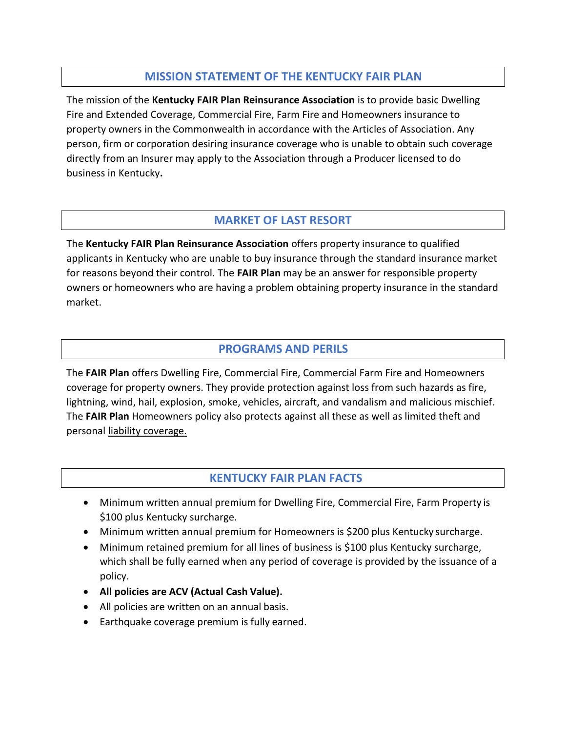## **MISSION STATEMENT OF THE KENTUCKY FAIR PLAN**

The mission of the **Kentucky FAIR Plan Reinsurance Association** is to provide basic Dwelling Fire and Extended Coverage, Commercial Fire, Farm Fire and Homeowners insurance to property owners in the Commonwealth in accordance with the Articles of Association. Any person, firm or corporation desiring insurance coverage who is unable to obtain such coverage directly from an Insurer may apply to the Association through a Producer licensed to do business in Kentucky**.**

## **MARKET OF LAST RESORT**

The **Kentucky FAIR Plan Reinsurance Association** offers property insurance to qualified applicants in Kentucky who are unable to buy insurance through the standard insurance market for reasons beyond their control. The **FAIR Plan** may be an answer for responsible property owners or homeowners who are having a problem obtaining property insurance in the standard market.

## **PROGRAMS AND PERILS**

The **FAIR Plan** offers Dwelling Fire, Commercial Fire, Commercial Farm Fire and Homeowners coverage for property owners. They provide protection against loss from such hazards as fire, lightning, wind, hail, explosion, smoke, vehicles, aircraft, and vandalism and malicious mischief. The **FAIR Plan** Homeowners policy also protects against all these as well as limited theft and personal liability coverage.

## **KENTUCKY FAIR PLAN FACTS**

- Minimum written annual premium for Dwelling Fire, Commercial Fire, Farm Property is \$100 plus Kentucky surcharge.
- Minimum written annual premium for Homeowners is \$200 plus Kentucky surcharge.
- Minimum retained premium for all lines of business is \$100 plus Kentucky surcharge, which shall be fully earned when any period of coverage is provided by the issuance of a policy.
- **All policies are ACV (Actual Cash Value).**
- All policies are written on an annual basis.
- Earthquake coverage premium is fully earned.